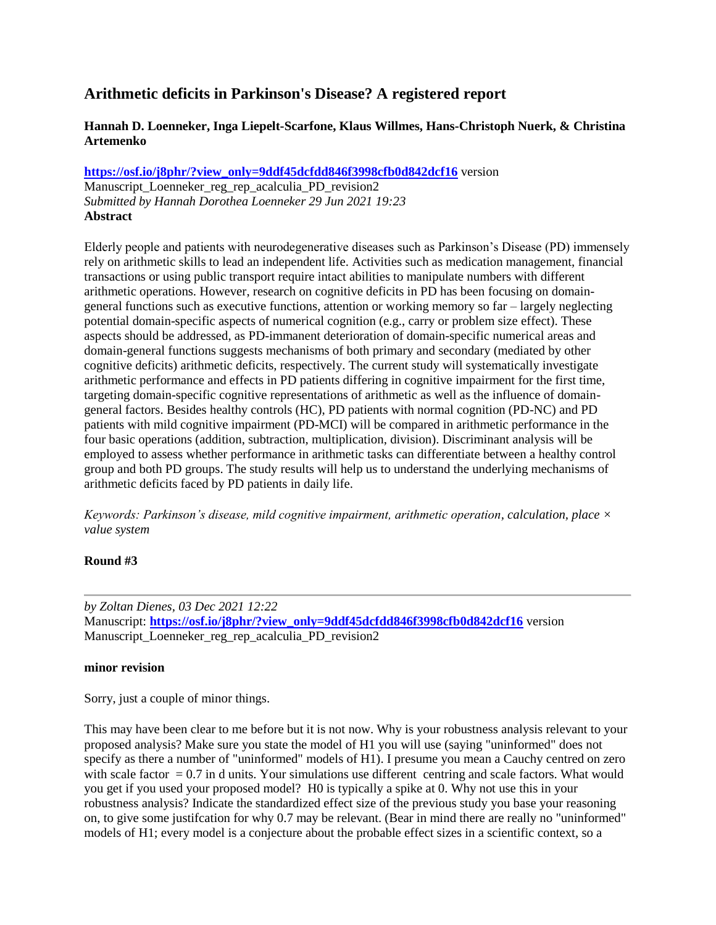## **Arithmetic deficits in Parkinson's Disease? A registered report**

## **Hannah D. Loenneker, Inga Liepelt-Scarfone, Klaus Willmes, Hans-Christoph Nuerk, & Christina Artemenko**

**[https://osf.io/j8phr/?view\\_only=9ddf45dcfdd846f3998cfb0d842dcf16](https://osf.io/j8phr/?view_only=9ddf45dcfdd846f3998cfb0d842dcf16)** version

Manuscript\_Loenneker\_reg\_rep\_acalculia\_PD\_revision2 *Submitted by Hannah Dorothea Loenneker 29 Jun 2021 19:23* **Abstract**

Elderly people and patients with neurodegenerative diseases such as Parkinson's Disease (PD) immensely rely on arithmetic skills to lead an independent life. Activities such as medication management, financial transactions or using public transport require intact abilities to manipulate numbers with different arithmetic operations. However, research on cognitive deficits in PD has been focusing on domaingeneral functions such as executive functions, attention or working memory so far – largely neglecting potential domain-specific aspects of numerical cognition (e.g., carry or problem size effect). These aspects should be addressed, as PD-immanent deterioration of domain-specific numerical areas and domain-general functions suggests mechanisms of both primary and secondary (mediated by other cognitive deficits) arithmetic deficits, respectively. The current study will systematically investigate arithmetic performance and effects in PD patients differing in cognitive impairment for the first time, targeting domain-specific cognitive representations of arithmetic as well as the influence of domaingeneral factors. Besides healthy controls (HC), PD patients with normal cognition (PD-NC) and PD patients with mild cognitive impairment (PD-MCI) will be compared in arithmetic performance in the four basic operations (addition, subtraction, multiplication, division). Discriminant analysis will be employed to assess whether performance in arithmetic tasks can differentiate between a healthy control group and both PD groups. The study results will help us to understand the underlying mechanisms of arithmetic deficits faced by PD patients in daily life.

*Keywords: Parkinson's disease, mild cognitive impairment, arithmetic operation, calculation, place × value system*

## **Round #3**

*by Zoltan Dienes, 03 Dec 2021 12:22* Manuscript: **[https://osf.io/j8phr/?view\\_only=9ddf45dcfdd846f3998cfb0d842dcf16](https://osf.io/j8phr/?view_only=9ddf45dcfdd846f3998cfb0d842dcf16)** version Manuscript Loenneker reg\_rep\_acalculia\_PD\_revision2

## **minor revision**

Sorry, just a couple of minor things.

This may have been clear to me before but it is not now. Why is your robustness analysis relevant to your proposed analysis? Make sure you state the model of H1 you will use (saying "uninformed" does not specify as there a number of "uninformed" models of H1). I presume you mean a Cauchy centred on zero with scale factor  $= 0.7$  in d units. Your simulations use different centring and scale factors. What would you get if you used your proposed model? H0 is typically a spike at 0. Why not use this in your robustness analysis? Indicate the standardized effect size of the previous study you base your reasoning on, to give some justifcation for why 0.7 may be relevant. (Bear in mind there are really no "uninformed" models of H1; every model is a conjecture about the probable effect sizes in a scientific context, so a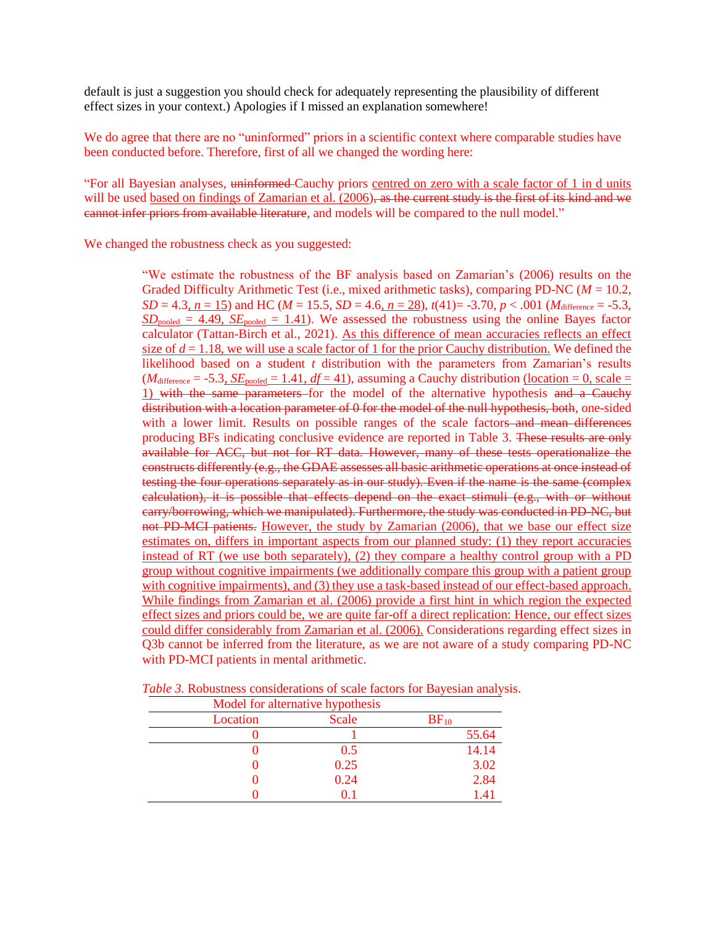default is just a suggestion you should check for adequately representing the plausibility of different effect sizes in your context.) Apologies if I missed an explanation somewhere!

We do agree that there are no "uninformed" priors in a scientific context where comparable studies have been conducted before. Therefore, first of all we changed the wording here:

"For all Bayesian analyses, uninformed Cauchy priors centred on zero with a scale factor of 1 in d units will be used based on findings of Zamarian et al. (2006), as the current study is the first of its kind and we cannot infer priors from available literature, and models will be compared to the null model."

We changed the robustness check as you suggested:

"We estimate the robustness of the BF analysis based on Zamarian's (2006) results on the Graded Difficulty Arithmetic Test (i.e., mixed arithmetic tasks), comparing PD-NC (*M* = 10.2, *SD* = 4.3, *n* = 15) and HC (*M* = 15.5, *SD* = 4.6, *n* = 28),  $t(41)$ = -3.70, *p* < .001 (*M*<sub>difference</sub> = -5.3,  $SD_{pooled} = 4.49$ ,  $SE_{pooled} = 1.41$ . We assessed the robustness using the online Bayes factor calculator (Tattan-Birch et al., 2021). As this difference of mean accuracies reflects an effect size of  $d = 1.18$ , we will use a scale factor of 1 for the prior Cauchy distribution. We defined the likelihood based on a student *t* distribution with the parameters from Zamarian's results  $(M_{difference} = -5.3, \underline{SE}_{pooled} = 1.41, df = 41)$ , assuming a Cauchy distribution (location = 0, scale = 1) with the same parameters for the model of the alternative hypothesis and a Cauchy distribution with a location parameter of 0 for the model of the null hypothesis, both, one-sided with a lower limit. Results on possible ranges of the scale factors and mean differences producing BFs indicating conclusive evidence are reported in Table 3. These results are only available for ACC, but not for RT data. However, many of these tests operationalize the constructs differently (e.g., the GDAE assesses all basic arithmetic operations at once instead of testing the four operations separately as in our study). Even if the name is the same (complex calculation), it is possible that effects depend on the exact stimuli (e.g., with or without carry/borrowing, which we manipulated). Furthermore, the study was conducted in PD-NC, but not PD-MCI patients. However, the study by Zamarian (2006), that we base our effect size estimates on, differs in important aspects from our planned study: (1) they report accuracies instead of RT (we use both separately), (2) they compare a healthy control group with a PD group without cognitive impairments (we additionally compare this group with a patient group with cognitive impairments), and (3) they use a task-based instead of our effect-based approach. While findings from Zamarian et al. (2006) provide a first hint in which region the expected effect sizes and priors could be, we are quite far-off a direct replication: Hence, our effect sizes could differ considerably from Zamarian et al. (2006). Considerations regarding effect sizes in Q3b cannot be inferred from the literature, as we are not aware of a study comparing PD-NC with PD-MCI patients in mental arithmetic.

| Model for alternative hypothesis |       |           |
|----------------------------------|-------|-----------|
| Location                         | Scale | $BF_{10}$ |
|                                  |       | 55.64     |
|                                  | 0.5   | 14.14     |
|                                  | 0.25  | 3.02      |
|                                  | 0.24  | 2.84      |
|                                  | 0.1   | 1.41      |

*Table 3.* Robustness considerations of scale factors for Bayesian analysis.